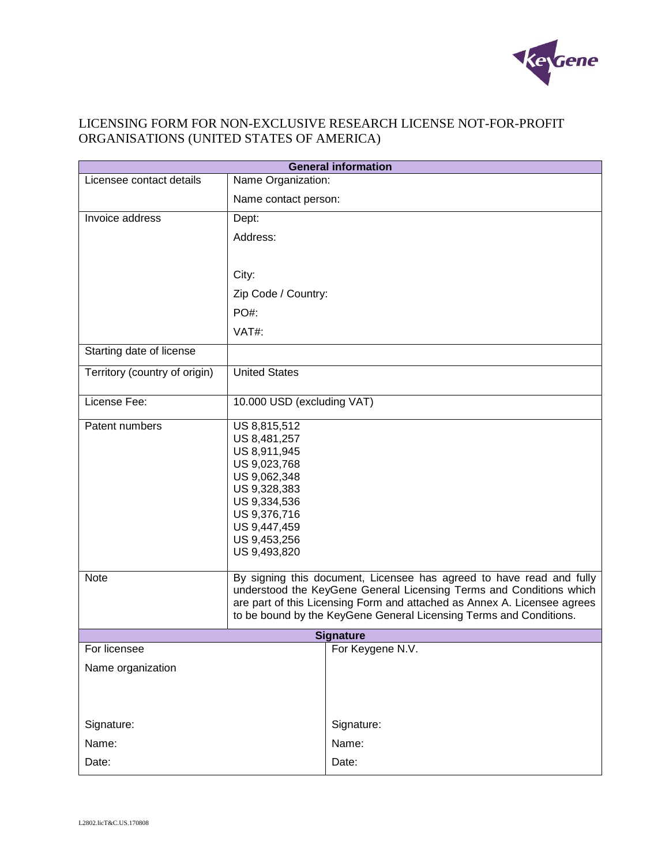

# LICENSING FORM FOR NON-EXCLUSIVE RESEARCH LICENSE NOT-FOR-PROFIT ORGANISATIONS (UNITED STATES OF AMERICA)

| <b>General information</b>    |                                                                                                                                                                                                                                                                                                                                                                                                                                                                               |                  |
|-------------------------------|-------------------------------------------------------------------------------------------------------------------------------------------------------------------------------------------------------------------------------------------------------------------------------------------------------------------------------------------------------------------------------------------------------------------------------------------------------------------------------|------------------|
| Licensee contact details      | Name Organization:                                                                                                                                                                                                                                                                                                                                                                                                                                                            |                  |
|                               | Name contact person:                                                                                                                                                                                                                                                                                                                                                                                                                                                          |                  |
| Invoice address               | Dept:                                                                                                                                                                                                                                                                                                                                                                                                                                                                         |                  |
|                               | Address:                                                                                                                                                                                                                                                                                                                                                                                                                                                                      |                  |
|                               |                                                                                                                                                                                                                                                                                                                                                                                                                                                                               |                  |
|                               | City:                                                                                                                                                                                                                                                                                                                                                                                                                                                                         |                  |
|                               | Zip Code / Country:                                                                                                                                                                                                                                                                                                                                                                                                                                                           |                  |
|                               | PO#:                                                                                                                                                                                                                                                                                                                                                                                                                                                                          |                  |
|                               | VAT#:                                                                                                                                                                                                                                                                                                                                                                                                                                                                         |                  |
| Starting date of license      |                                                                                                                                                                                                                                                                                                                                                                                                                                                                               |                  |
| Territory (country of origin) | <b>United States</b>                                                                                                                                                                                                                                                                                                                                                                                                                                                          |                  |
| License Fee:                  | 10.000 USD (excluding VAT)                                                                                                                                                                                                                                                                                                                                                                                                                                                    |                  |
| Patent numbers<br><b>Note</b> | US 8,815,512<br>US 8,481,257<br>US 8,911,945<br>US 9,023,768<br>US 9,062,348<br>US 9,328,383<br>US 9,334,536<br>US 9,376,716<br>US 9,447,459<br>US 9,453,256<br>US 9,493,820<br>By signing this document, Licensee has agreed to have read and fully<br>understood the KeyGene General Licensing Terms and Conditions which<br>are part of this Licensing Form and attached as Annex A. Licensee agrees<br>to be bound by the KeyGene General Licensing Terms and Conditions. |                  |
| <b>Signature</b>              |                                                                                                                                                                                                                                                                                                                                                                                                                                                                               |                  |
| For licensee                  |                                                                                                                                                                                                                                                                                                                                                                                                                                                                               | For Keygene N.V. |
| Name organization             |                                                                                                                                                                                                                                                                                                                                                                                                                                                                               |                  |
|                               |                                                                                                                                                                                                                                                                                                                                                                                                                                                                               |                  |
| Signature:                    |                                                                                                                                                                                                                                                                                                                                                                                                                                                                               | Signature:       |
| Name:                         |                                                                                                                                                                                                                                                                                                                                                                                                                                                                               | Name:            |
| Date:                         |                                                                                                                                                                                                                                                                                                                                                                                                                                                                               | Date:            |